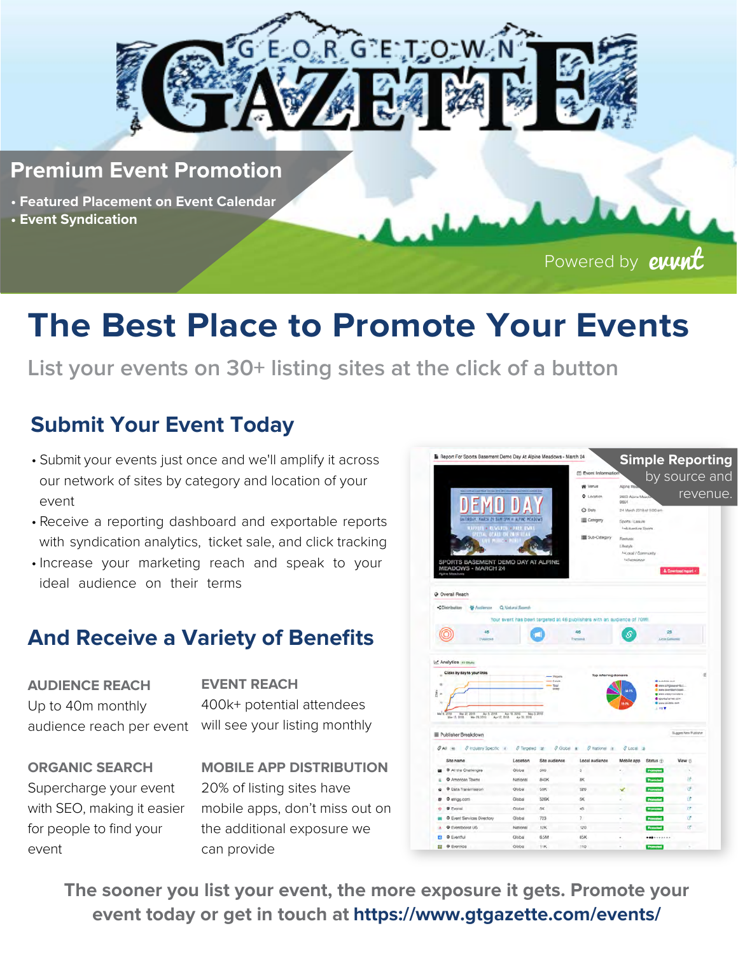

#### **Premium Event Promotion**

- **• Featured Placement on Event Calendar**
- **Event Syndication**

Powered by **evunt** 

# **The Best Place to Promote Your Events**

**List your events on 30+ listing sites at the click of a button**

## **Submit Your Event Today**

- Submit your events just once and we'll amplify it across our network of sites by category and location of your event
- Receive a reporting dashboard and exportable reports with syndication analytics, ticket sale, and click tracking
- Increase your marketing reach and speak to your ideal audience on their terms

### **And Receive a Variety of Benefits**

**AUDIENCE REACH** Up to 40m monthly audience reach per event will see your listing monthly

**EVENT REACH** 400k+ potential attendees

**ORGANIC SEARCH** Supercharge your event with SEO, making it easier for people to find your event

**MOBILE APP DISTRIBUTION** 20% of listing sites have mobile apps, don't miss out on the additional exposure we can provide

| Report For Sports Basement Demo Day At Alpine Meadows - March 24         |                              |                           |                                      |                                                   |                                                         | <b>Simple Reporting</b> |
|--------------------------------------------------------------------------|------------------------------|---------------------------|--------------------------------------|---------------------------------------------------|---------------------------------------------------------|-------------------------|
|                                                                          |                              |                           | <sup>m</sup> Event Information       |                                                   |                                                         |                         |
|                                                                          |                              |                           | W Venus                              | Alpine Me                                         |                                                         | by source and           |
|                                                                          |                              |                           | <b>Q</b> Location                    | 2000 Alpine Mead                                  |                                                         | revenue.                |
|                                                                          |                              |                           | C Date                               | 9861<br>24 March 2018 at 9:00 am                  |                                                         |                         |
| GATORDAY, HARCH 29 SAM SPH = ALFINE MEADOWS                              |                              |                           | Category                             |                                                   |                                                         |                         |
| 11711                                                                    | <b>+ REVATOR + FREE</b><br>w |                           |                                      | Sports / Larsure<br>LyAdventure Sports            |                                                         |                         |
| $11.11 -$                                                                | <b>ITALS ON 2819</b>         |                           | Sub-Category                         | Fastivac                                          |                                                         |                         |
|                                                                          |                              |                           |                                      | Libratyle:                                        |                                                         |                         |
|                                                                          |                              |                           |                                      | <b>Hitlaced / Community</b><br><b>HRechtitton</b> |                                                         |                         |
| SPORTS BASEMENT DEMO DAY AT ALPINE<br><b>MEADOWS - MARCH 24</b>          |                              |                           |                                      |                                                   |                                                         | 4. Download report -    |
| Again Mexicore                                                           |                              |                           |                                      |                                                   |                                                         |                         |
| M Analytics arcticle<br>Clicks by day to your links<br>٠<br>n            |                              | $+$ Fance<br>Total<br>GOM | Top referring domains                |                                                   | <b>B</b> <i>indettak jam</i><br><b>C</b> eesitpseerist. | $\sigma$                |
| $\epsilon$                                                               |                              |                           |                                      |                                                   | <b>Contractor and</b><br><b>B</b> Local Alliance must   |                         |
| Ma <sup>7</sup> 8                                                        |                              |                           |                                      |                                                   | 1. 1979                                                 |                         |
| 110 May 22, 2010 Apr 5, 2014 Apr 15, 2010 May 5, 2016                    |                              |                           |                                      |                                                   |                                                         |                         |
|                                                                          |                              |                           |                                      |                                                   |                                                         |                         |
| Publisher Breakdown                                                      |                              |                           |                                      |                                                   |                                                         | Support New Publisher   |
| 8 Inclustry Specific 14                                                  | @ Tergeted at                | G Global a                | <b><i>C</i></b> National<br><b>A</b> | $0$ Local<br>$\overline{a}$                       |                                                         |                         |
| Site name                                                                | Location                     | Site audience             | Local audience                       | Mobile app                                        | Status (                                                | View (5)                |
| O All the Challenges                                                     | Global                       | 500                       | 5                                    |                                                   | <b>Frommed</b>                                          | $\scriptstyle\rm v$     |
| O American Towns                                                         | National                     | 840K                      | 8K                                   |                                                   |                                                         | 挤                       |
| O Data Transmission                                                      | Global                       | 53K                       | 526                                  | u                                                 |                                                         | đ                       |
| O etrigg.com                                                             | Global                       | 526K                      | 5K                                   |                                                   |                                                         | œ                       |
| <b>O</b> Evensi                                                          | Global                       | 68                        | 48                                   |                                                   |                                                         | 贷                       |
| $Q$ All $-$ Hz<br>۰<br>$\overline{a}$<br>ø<br>O Event Services Directory | Global                       | 723                       | $7^{\circ}$                          |                                                   |                                                         | ø                       |
| O Eventboost US                                                          | National                     | 12K                       | 120                                  |                                                   |                                                         | œ                       |

**The sooner you list your event, the more exposure it gets. Promote your event today or get in touch at https://www.gtgazette.com/events/**